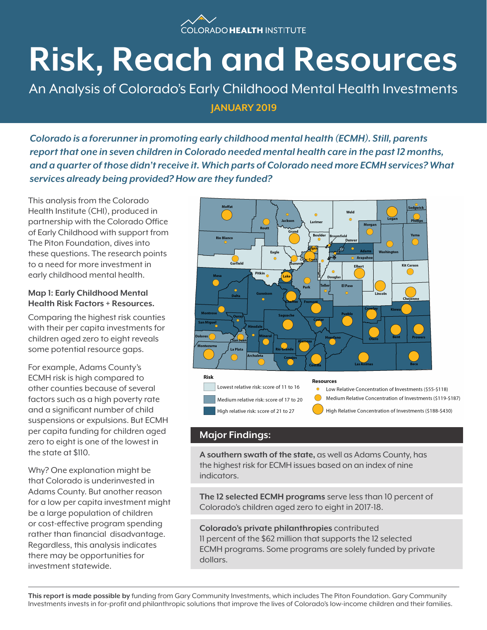

# **Risk, Reach and Resources**

An Analysis of Colorado's Early Childhood Mental Health Investments **JANUARY 2019**

*Colorado is a forerunner in promoting early childhood mental health (ECMH). Still, parents report that one in seven children in Colorado needed mental health care in the past 12 months, and a quarter of those didn't receive it. Which parts of Colorado need more ECMH services? What services already being provided? How are they funded?*

This analysis from the Colorado Health Institute (CHI), produced in partnership with the Colorado Office of Early Childhood with support from The Piton Foundation, dives into these questions. The research points to a need for more investment in early childhood mental health.

### **Map 1: Early Childhood Mental Health Risk Factors + Resources.**

Comparing the highest risk counties with their per capita investments for children aged zero to eight reveals some potential resource gaps.

For example, Adams County's ECMH risk is high compared to other counties because of several factors such as a high poverty rate and a significant number of child suspensions or expulsions. But ECMH per capita funding for children aged zero to eight is one of the lowest in the state at \$110.

Why? One explanation might be that Colorado is underinvested in Adams County. But another reason for a low per capita investment might be a large population of children or cost-effective program spending rather than financial disadvantage. Regardless, this analysis indicates there may be opportunities for investment statewide.



# **Major Findings:**

**A southern swath of the state,** as well as Adams County, has the highest risk for ECMH issues based on an index of nine indicators.

**The 12 selected ECMH programs** serve less than 10 percent of Colorado's children aged zero to eight in 2017-18.

**Colorado's private philanthropies** contributed 11 percent of the \$62 million that supports the 12 selected ECMH programs. Some programs are solely funded by private dollars.